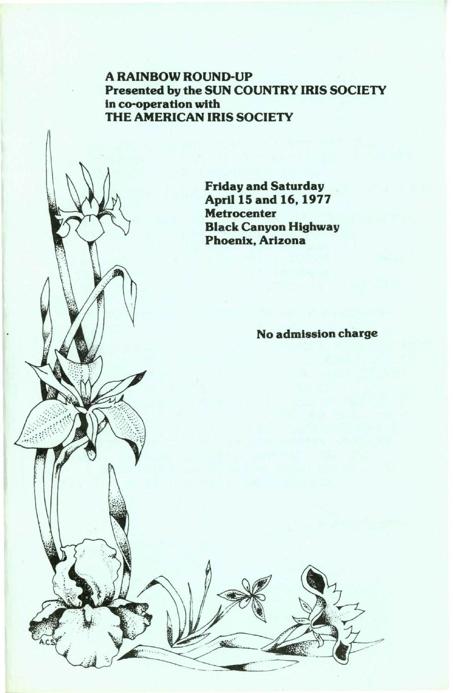# A RAINBOW ROUND-UP Presented by the SUN COUNTRY IRIS SOCIETY in co-operation with THE AMERICAN IRIS SOCIETY

Friday and Saturday April 15 and 16, 1977 **Metrocenter** Black Canyon Highway Phoenix, Arizona

No admission charge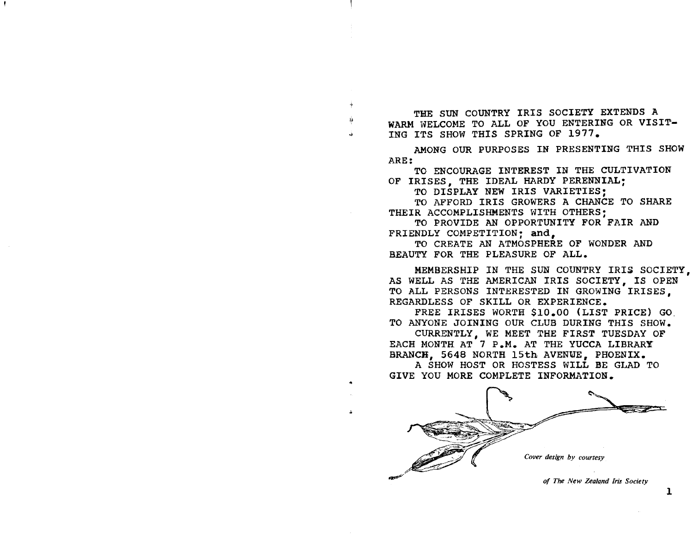THE SUN COUNTRY IRIS SOCIETY EXTENDS A WARM WELCOME TO ALL OF YOU ENTERING OR VISIT-ING ITS SHOW THIS SPRING OF 1977.

AMONG OUR PURPOSES IN PRESENTING THIS SHOW ARE:

TO ENCOURAGE INTEREST IN THE CULTIVATION OF IRISES, THE IDEAL HARDY PERENNIAL:

TO DISPLAY NEW IRIS VARIETIES:

TO AFFORD IRIS GROWERS A CHANCE TO SHARE THEIR ACCOMPLISHMENTS WITH OTHERS:

TO PROVIDE AN OPPORTUNITY FOR FAIR AND FRIENDLY COMPETITION: and,

TO CREATE AN ATMOSPHERE OF WONDER AND BEAUTY FOR THE PLEASURE OF ALL.

MEMBERSHIP IN THE SUN COUNTRY IRIS SOCIETY, AS WELL AS THE AMERICAN IRIS SOCIETY, IS OPEN TO ALL PERSONS INTERESTED IN GROWING IRISES, REGARDLESS OF SKILL OR EXPERIENCE.

FREE IRISES WORTH \$10.00 (LIST PRICE) GO. TO ANYONE JOINING OUR CLUB DURING THIS SHOW.

CURRENTLY, WE MEET THE FIRST TUESDAY OF EACH MONTH AT 7 P.M. AT THE YUCCA LIBRARY BRANCH, 5648 NORTH 15th AVENUE, PHOENIX.

A SHOW HOST OR HOSTESS WILL BE GLAD TO GIVE YOU MORE COMPLETE INFORMATION.

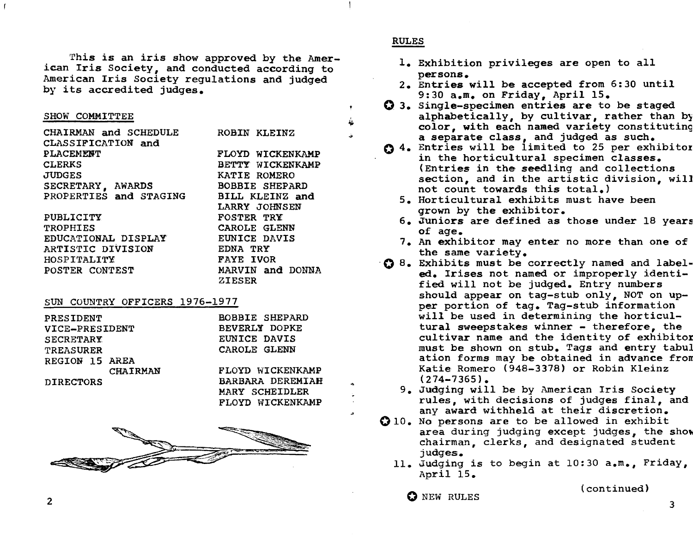This is an *iris* show approved by the American Iris Society, and conducted according to American Iris Society regulations and judged by its accredited judges.

#### SHOW COMMITTEE

| CHAIRMAN and SCHEDULE  | ROBIN KLEINZ          |
|------------------------|-----------------------|
| CLASSIFICATION and     |                       |
| PLACEMENT              | FLOYD WICKENKAMP      |
| <b>CLERKS</b>          | BETTY WICKENKAMP      |
| <b>JUDGES</b>          | KATIE ROMERO          |
| SECRETARY, AWARDS      | <b>BOBBIE SHEPARD</b> |
| PROPERTIES and STAGING | BILL KLEINZ and       |
|                        | LARRY JOHNSEN         |
| PUBLICITY              | <b>FOSTER TRY</b>     |
| <b>TROPHIES</b>        | CAROLE GLENN          |
| EDUCATIONAL DISPLAY    | EUNICE DAVIS          |
| ARTISTIC DIVISION      | EDNA TRY              |
| HOSPITALITY            | <b>FAYE IVOR</b>      |
| POSTER CONTEST         | MARVIN and DONNA      |
|                        | ZIESER                |

#### SUN COUNTRY OFFICERS 1976-1977

| PRESIDENT        | <b>BOBBIE SHEPARD</b> |
|------------------|-----------------------|
| VICE-PRESIDENT   | BEVERLY DOPKE         |
| <b>SECRETARY</b> | EUNICE DAVIS          |
| <b>TREASURER</b> | CAROLE GLENN          |
| REGION 15 AREA   |                       |
| <b>CHAIRMAN</b>  | FLOYD WICKENKAMP      |
| <b>DIRECTORS</b> | BARBARA DEREMIAH      |
|                  | MARY SCHEIDLER        |

FLOYD WICKENKAMP



## RULES

~ ...

- 1. Exhibition privileges are open to all
- persons.<br>2. Entries will be accepted from 6:30 until 9:30 a.m. on Friday, April 15.
- O 3. Single-specimen entries are to be staged alphabetically, by cultivar, rather than by color, with each named variety constituting a separate class, and judged as such.
- 0 4. Entries will be limited to 25 per exhibitor in the horticultural specimen classes. (Entries in the seedling and collections section, and in the artistic division, will not count towards this total.)
	- 5. Horticultural exhibits must have been grown by the exhibitor.
	- 6. Juniors are defined as those under  $18$  years of age.
	- 7. An exhibitor may enter no more than one of the same variety.
- '0 8. Exhibits must be correctly named and labeled. Irises not named or improperly identified will not be judged. Entry numbers should appear on tag-stub only, NOT on upper portion of tag. Tag-stub information will be used in determining the horticultural sweepstakes winner - therefore, the cultivar name and the identity of exhibitor must be shown on stub. Tags and entry tabu} ation forms may be obtained in advance from Katie Romero (948-3378) or Robin Kleinz  $(274 - 7365)$ .
	- 9. Judging will be by American Iris Society rules, with decisions of judges final, and any award withheld at their discretion.
- 010. No persons are to be allowed in exhibit area during judging except judges, the show chairman, clerks, and designated student judges.
	- 11. Judging is to begin at 10:30 a.m., Friday, April 15.

O NEW RULES (continued)

2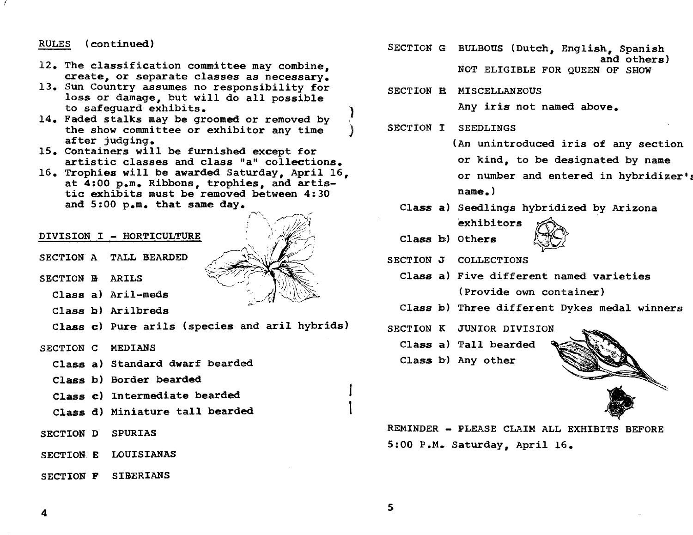# RULES (continued)

- 12. The classification committee may combine. create, or separate classes as necessary.
- 13. Sun Country assumes no responsibility for loss or damage, but will do all possible to safequard exhibits.
- 14. Faded stalks may be groomed or removed by the show committee or exhibitor any time after judging.
- 15. Containers will be furnished except for artistic classes and class "a" collections.
- 16. Trophies will be awarded Saturday, April 16, at 4:00 p.m. Ribbons, trophies, and artistic exhibits must be removed between 4:30 and 5:00 p.m. that same day.

### DIVISION I - HORTICULTURE

- SECTION A TALL BEARDED
- SECTION B. ARILS
	- Class a) Aril-meds
	- Class b) Arilbreds
	- Class c) Pure arils (species and aril hybrids)
- SECTION C MEDIANS
	- Class a} Standard dwarf bearded
	- Class b) Border bearded
	- Class c) Intermediate bearded
	- Class d) Miniature tall bearded
- SECTION D SPURIAS
- SECTION. E LOUISIANAS
- SECTION F SIBERIANS

 $\curvearrowright$ 

- SECTION G BULBOUS (Dutch, English, Spanish and others) NOT ELIGIBLE FOR QUEEN OF SHOW
- SECTION **E MISCELLANEOUS**

Any iris not named above.

SECTION I SEEDLINGS

(An unintroduced iris of any section

or kind, to be designated by name

or number and entered in hybridizer's name. )

- Class a) Seedlings hybridized by Arizona<br>
exhibitors<br>
Class b) Others<br>
CTION J COLLECTIONS exhibitors
- Class b) Others



SECTION J COLLECTIONS

- Class a) Five different named varieties (Provide own container)
- Class b) Three different Dykes medal winners
- SECTION K JUNIOR DIVISION

Class a) Tall bearded

Class b) Any other



REMINDER - PLEASE CLAIM ALL EXHIBITS BEFORE 5:00 P.M. Saturday, April 16.

4

5

I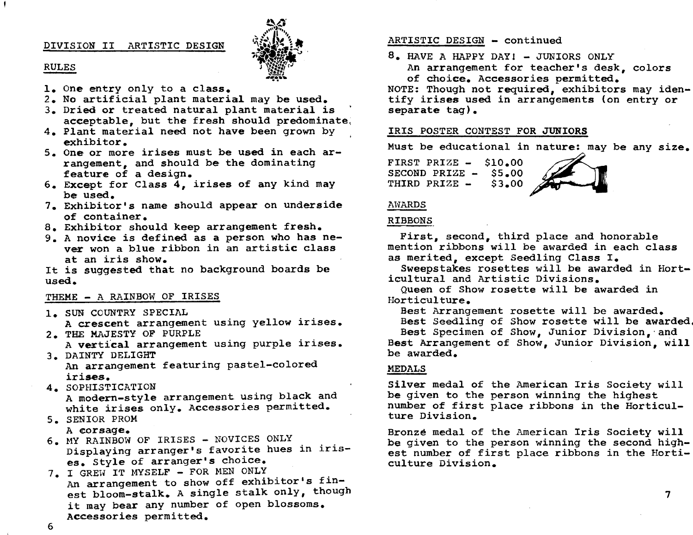# DIVISION II ARTISTIC DESIGN



#### RULES

- 1. One entry only to a class.
- 2. No artificial plant material may be used.
- 3. Dried or treated natural plant material is acceptable, but the fresh should predominate,
- 4. Plant material need not have been grown by exhibitor.
- 5. One or more irises must be used in each arrangement, and should be the dominating feature of a design.
- 6. Except for Class 4, irises of any kind may be used.
- 7. Exhibitor's name should appear on underside of container.
- 8. Exhibitor should keep arrangement fresh.
- 9. A novice is defined as a person who has never won a blue ribbon in an artistic class at an iris show.

It is suggested that no background boards be used.

### THEME - A RAINBOW OF IRISES

1. SUN COUNTRY SPECIAL

A crescent arrangement using yellow irises. 2. THE MAJESTY OF PURPLE

A vertical arrangement using purple irises. 3. DAINTY DELIGHT

An arrangement featuring pastel-colored irises.

- 4. SOPHISTICATION A modern-style arrangement using black and white irises only. Accessories permitted.
- 5. SENIOR PROM

6

A corsage.

- 6. MY RAINBOW OF IRISES NOVICES ONLY Displaying arranger's favorite hues in irises. Style of arranger's choice.
- 7. I GREW IT MYSELF FOR MEN ONLY An arrangement to show off exhibitor's finest bloom-stalk. A single stalk only, though it may bear any number of open blossoms. Accessories permitted.

### ARTISTIC DESIGN - continued

 $8.$  HAVE A HAPPY DAY!  $-$  JUNIORS ONLY

An arrangement for teacher's desk, colors of choice. Accessories permitted.

NOTE: Though not required, exhibitors may identify irises used in arrangements (on entry or separate tag).

# IRIS POSTER CONTEST FOR JUNIORS

Must be educational in nature: may be any size.

FIRST PRIZE - \$10.00 SECOND PRIZE - \$5.00<br>THIRD PRIZE - \$3.00 \$3.00



## AWARDS

#### RIBBONS

First, second, third place and honorable mention ribbons will be awarded in each class as merited, except Seedling Class I.

Sweepstakes rosettes will be awarded in Horticultural and Artistic Divisions.

Queen of Show rosette will be awarded in Horticulture.

Best Arrangement rosette will be awarded.

Best Seedling of Show rosette will be awarded,

Best Specimen of Show, Junior Division,' and Best Arrangement of Show, Junior Division, will be awarded.

#### MEDALS

Silver medal of the American Iris Society will be given to the person winning the highest number of first place ribbons in the Horticulture Division.

Bronze medal of the American Iris Society will be given to the person winning the second highest number of first place ribbons in the Horticulture Division.